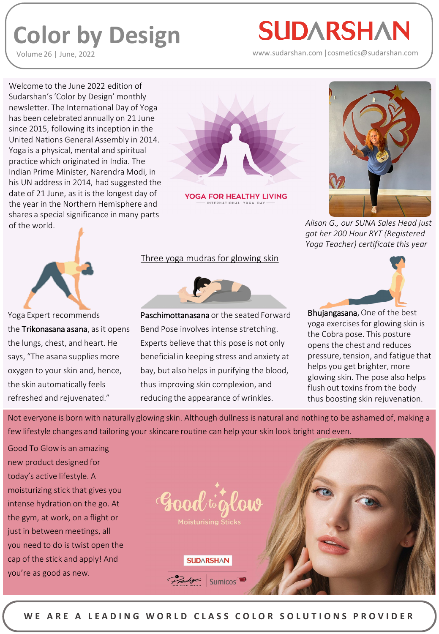## **Color by Design**

Volume 26 | June, 2022

## **SUDARSHAN**

www.sudarshan.com |cosmetics@sudarshan.com

Welcome to the June 2022 edition of Sudarshan's 'Color by Design' monthly newsletter. The International Day of Yoga has been celebrated annually on 21 June since 2015, following its inception in the United Nations General Assembly in 2014. Yoga is a physical, mental and spiritual practice which originated in India. The Indian Prime Minister, Narendra Modi, in his UN address in 2014, had suggested the date of 21 June, as it is the longest day of the year in the Northern Hemisphere and shares a special significance in many parts of the world. *Alison G., our SUNA Sales Head just* 



YOGA FOR HEALTHY LIVING



*got her 200 Hour RYT (Registered Yoga Teacher) certificate this year*



Yoga Expert recommends the Trikonasana asana, as it opens the lungs, chest, and heart. He says, "The asana supplies more oxygen to your skin and, hence, the skin automatically feels refreshed and rejuvenated."

## Three yoga mudras for glowing skin



Paschimottanasana or the seated Forward Bend Pose involves intense stretching. Experts believe that this pose is not only beneficial in keeping stress and anxiety at bay, but also helps in purifying the blood, thus improving skin complexion, and reducing the appearance of wrinkles.



Bhujangasana, One of the best yoga exercises for glowing skin is the Cobra pose. This posture opens the chest and reduces pressure, tension, and fatigue that helps you get brighter, more glowing skin. The pose also helps flush out toxins from the body thus boosting skin rejuvenation.

Not everyone is born with naturally glowing skin. Although dullness is natural and nothing to be ashamed of, making a few lifestyle changes and tailoring your skincare routine can help your skin look bright and even.

Good To Glow is an amazing new product designed for today's active lifestyle. A moisturizing stick that gives you intense hydration on the go. At the gym, at work, on a flight or just in between meetings, all you need to do is twist open the cap of the stick and apply! And you're as good as new.